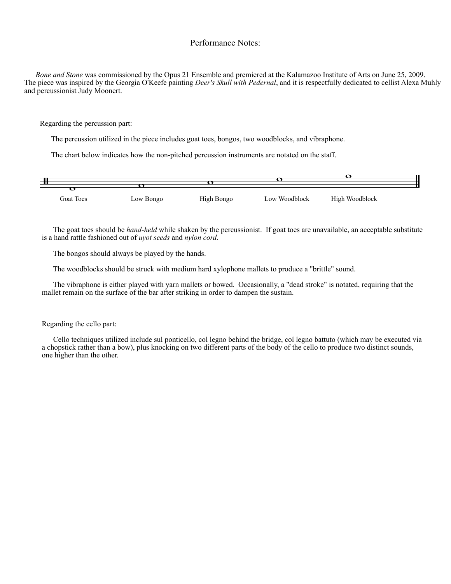## Performance Notes:

 *Bone and Stone* was commissioned by the Opus 21 Ensemble and premiered at the Kalamazoo Institute of Arts on June 25, 2009. The piece was inspired by the Georgia O'Keefe painting *Deer's Skull with Pedernal*, and it is respectfully dedicated to cellist Alexa Muhly and percussionist Judy Moonert.

Regarding the percussion part:

The percussion utilized in the piece includes goat toes, bongos, two woodblocks, and vibraphone.

The chart below indicates how the non-pitched percussion instruments are notated on the staff.

| コ         |           |            |               |                |  |
|-----------|-----------|------------|---------------|----------------|--|
| Goat Toes | Low Bongo | High Bongo | Low Woodblock | High Woodblock |  |

 The goat toes should be *hand-held* while shaken by the percussionist. If goat toes are unavailable, an acceptable substitute is a hand rattle fashioned out of *uyot seeds* and *nylon cord*.

The bongos should always be played by the hands.

The woodblocks should be struck with medium hard xylophone mallets to produce a "brittle" sound.

 The vibraphone is either played with yarn mallets or bowed. Occasionally, a "dead stroke" is notated, requiring that the mallet remain on the surface of the bar after striking in order to dampen the sustain.

Regarding the cello part:

 Cello techniques utilized include sul ponticello, col legno behind the bridge, col legno battuto (which may be executed via a chopstick rather than a bow), plus knocking on two different parts of the body of the cello to produce two distinct sounds, one higher than the other.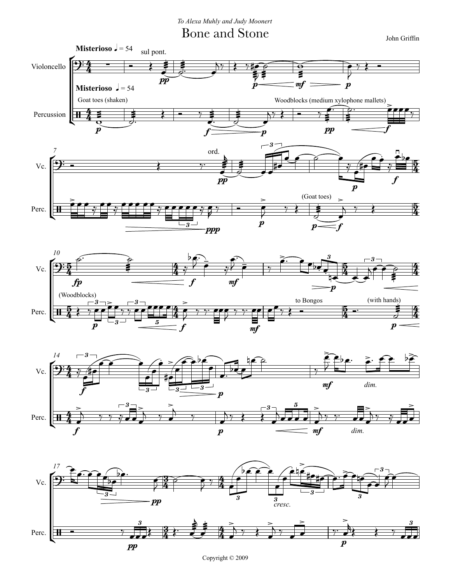## *To Alexa Muhly and Judy Moonert*

Bone and Stone John Griffin

**Misterioso = 54** sul pont. ŕ  $9:4$  - - $\frac{1}{2}$  $\frac{1}{2}$ ŧ  $5787$ ≹  $\overline{\blacktriangleright}$  $\frac{1}{\beta}$  $\overline{\bullet}$  $\sum_{i=1}^{n}$  $7$   $\leftarrow$ Violoncello  $\frac{4}{4}$  $\frac{1}{2}$ ¦<br>₹  $\frac{1}{2}$  $\frac{1}{2}$  $\overline{V}$  $\boldsymbol{p}$  $m$  $\boldsymbol{p}$  $\boldsymbol{p}$ **Misterioso** q = 54 Goat toes (shaken) Woodblocks (medium xylophone mallets)<br>  $\begin{array}{ccc}\n\bullet & \bullet & \bullet \\
\hline\n\end{array}$  $\frac{1}{2}$  $\geq$ 4  $rac{1}{2}$  $\frac{1}{2}$  $\frac{1}{2}$ Ì.  $\begin{array}{c|c|c|c|c|c} \hline \textbf{1} & \textbf{2} & \textbf{3} & \textbf{4} & \textbf{5} \\ \hline \textbf{5} & \textbf{6} & \textbf{7} & \textbf{8} & \textbf{9} & \textbf{10} \\ \hline \textbf{6} & \textbf{7} & \textbf{8} & \textbf{10} & \textbf{10} & \textbf{10} & \textbf{10} & \textbf{10} & \textbf{10} \\ \hline \textbf{7} & \textbf{8} & \textbf{10} & \textbf{10} & \textbf{10} & \textbf{10$  $\frac{1}{2}$   $\frac{1}{2}$   $\frac{1}{2}$   $\frac{1}{2}$ ≸ Percussion ĮŦ  $\frac{4}{4}$ ₹  $\overline{\phantom{a}}$ pp f  $\boldsymbol{p}$ f p  $\overrightarrow{3}$ *7* ord.  $\vdots$  $\overline{\phantom{a}}$  $\frac{1}{\sqrt{2}}$  $\sum_{i=1}^n$  $\frac{1}{\sqrt{2}}$  $\widehat{\mathbf{F}}$ É  $\ddot{y}$ :  $\ddot{y}$ 4H. 5 ⋡J  $\frac{1}{7}$ Vc.  $\frac{5}{4}$ ₹  $\frac{1}{2}$   $\rightarrow$  $\bm{p}\bar{\bm{p}}$ f  $\boldsymbol{p}$ (Goat toes)  $\overline{\phantom{a}}$  $\geq$  $\geq$  $\overline{\mathbb{L}}$ 5  $\overline{\mathbf{f}}$  $\frac{2}{\sqrt{2}}$ ŧ  $3^7$  - $\left\{\right.$  $\frac{4}{3}$ Perc.  $\frac{5}{4}$ ľ ₹  $\overline{\phantom{a}}$  $\boldsymbol{p}$ 3 p f ppp *10*  $\hat{\underline{\epsilon}}$ :  $b_{\text{f}}$  $\hat{\mathbf{f}}$  $\sum_{i=1}^{n}$ è  $\frac{1}{2}$ Ć  $\frac{1}{\sqrt{2}}$ 3 3 5 ≸ 4  $\frac{1}{\sqrt{2}}$ 5 4  $\sum_{i=1}^{n}$  $\frac{1}{2}$  $\frac{1}{7}$  $\overline{\widetilde{N}}$  $\overline{\bullet}$  $\frac{1}{\beta}$ Vc.  $\frac{5}{4}$  $\frac{4}{4}$  $\frac{5}{4}$  $\frac{4}{4}$ ≸  $\frac{4}{1}$  $f_{\mathcal{P}}$  $m<sub>i</sub>$ f p (Woodblocks) to Bongos  $rac{1}{\sqrt{1-\frac{1}{2}}}$  $\geq$ Bongos (with hands)  $3 \rightarrow -3$  $\frac{3}{\sqrt{2}}$  $\frac{1}{2}$  $\bullet$   $\bullet$   $\circ$   $\circ$   $\circ$ 5 4 5 4  $\frac{1}{7}$   $2, 7$  $\frac{1}{2}$  $\frac{1}{2}$ Perc.  $\frac{5}{4}$  $\frac{4}{4}$  $\frac{5}{4}$  $\frac{4}{4}$  $\bar{J}$ ľ 3 5  $\boldsymbol{p}$ p mf f  $\geqslant$  $3\frac{1}{2}$   $(1-\sqrt{3})^2$   $(1-\sqrt{3})^2$ è  $\frac{dy}{dx}$  > *14*  $\geq$   $\epsilon$   $\geq$   $\geq$  $\cdot$  $\widehat{\epsilon}$  $\widehat{\mathbb{P}^2}$  $\widetilde{\epsilon_{\ell}}$ .<br>م  $\frac{1}{\sqrt{2}}$ Ć 4 ์<br>9:4 ะุ  $\frac{1}{\sqrt{2}}$  $\overline{ }$  $\frac{1}{4}$ موفق (−  $\left\langle \bullet \right\rangle$  $\overline{y}$ Vc.  $\frac{4}{4}$  $\frac{1}{\bullet}$  $\frac{1}{\bullet}$ *dim.* mf  $\overline{3}$   $\overline{3}$   $\overline{3}$   $\overline{3}$   $\overline{3}$   $\overline{3}$   $\overline{3}$   $\overline{3}$ f  $-\boldsymbol{p}$  <sup>3</sup> <sup>3</sup> <sup>5</sup>  $\overline{\phantom{a}}$  $\geq$  $\geq$  $\geq$  $\geq$  $\frac{1}{7}$ 4  $\begin{array}{c|c|c|c|c|c} \hline \text{ } & \text{ } & \text{ } & \text{ } & \text{ } & \text{ } \text{ } \\ \hline \text{ } & \text{ } & \text{ } & \text{ } & \text{ } & \text{ } & \text{ } & \text{ } \\ \hline \end{array}$  $\frac{1}{\sqrt{1-\frac{1}{\sqrt{1-\frac{1}{\sqrt{1-\frac{1}{\sqrt{1-\frac{1}{\sqrt{1-\frac{1}{\sqrt{1-\frac{1}{\sqrt{1-\frac{1}{\sqrt{1-\frac{1}{\sqrt{1-\frac{1}{\sqrt{1-\frac{1}{\sqrt{1-\frac{1}{\sqrt{1-\frac{1}{\sqrt{1-\frac{1}{\sqrt{1-\frac{1}{\sqrt{1-\frac{1}{\sqrt{1-\frac{1}{\sqrt{1-\frac{1}{\sqrt{1-\frac{1}{\sqrt{1-\frac{1}{\sqrt{1-\frac{1}{\sqrt{1-\frac{1}{\sqrt{1-\frac{1}{\sqrt{1-\frac{1}{\sqrt{1-\frac{1$  $\begin{array}{c} \uparrow \rightarrow \\ \uparrow \rightarrow \\ \uparrow \rightarrow \\ \downarrow \rightarrow \\ \end{array}$  $\overline{\mathbf{A}}$  $\frac{1}{2}$  $\overline{\phantom{a}}$ 5 Perc. U  $\frac{4}{4}$  $\overline{\phantom{a}}$  $\overline{\phantom{a}}$ mf *dim.* f  $\boldsymbol{p}$ Ξ  $\frac{1}{2}$  $\dot{\mathbf{z}}$ *17*  $\overbrace{1}$ عہ کا è  $\dot{\bullet}$  $\frac{1}{2}$  $\begin{pmatrix} -3 \\ 1 \\ 2 \end{pmatrix}$  $\partial$ . 3 Ć ě <u>3</u> 4  $\overline{\bullet}$  $\overline{\bullet}$  $\widetilde{\blacklozenge}$  $\epsilon$  $7^{+4}$ Vc.  $\frac{3}{4}$  $\frac{4}{4}$  $\sum$  $\frac{1}{\epsilon}$  $\overline{2}$  $3 \rightarrow 3$  $\frac{3}{3}$  and  $\frac{3}{3}$  becomes  $\frac{3}{3}$ *cresc.* pp  $\frac{1}{2}$  $\overline{\phantom{a}}$  $\overrightarrow{y}$  $\frac{3}{4}$  $\geq$  $\geq$  $\blacktriangle$  $\frac{3}{7}$  3:  $\frac{3}{4}$   $\frac{1}{4}$   $\frac{1}{2}$   $\frac{1}{4}$   $\frac{1}{2}$   $\frac{1}{2}$   $\frac{1}{2}$   $\frac{1}{2}$   $\frac{1}{2}$   $\frac{1}{2}$   $\frac{1}{2}$ 3<br>3 4  $\rightarrow$  $\frac{1}{\sqrt{1-\frac{1}{\sqrt{1-\frac{1}{\sqrt{1-\frac{1}{\sqrt{1-\frac{1}{\sqrt{1-\frac{1}{\sqrt{1-\frac{1}{\sqrt{1-\frac{1}{\sqrt{1-\frac{1}{\sqrt{1-\frac{1}{\sqrt{1-\frac{1}{\sqrt{1-\frac{1}{\sqrt{1-\frac{1}{\sqrt{1-\frac{1}{\sqrt{1-\frac{1}{\sqrt{1-\frac{1}{\sqrt{1-\frac{1}{\sqrt{1-\frac{1}{\sqrt{1-\frac{1}{\sqrt{1-\frac{1}{\sqrt{1-\frac{1}{\sqrt{1-\frac{1}{\sqrt{1-\frac{1}{\sqrt{1-\frac{1}{\sqrt{1-\frac{1$  $\parallel$   $\qquad$   $\qquad$   $\qquad$   $\qquad$   $\qquad$   $\qquad$   $\qquad$   $\qquad$   $\qquad$   $\qquad$   $\qquad$   $\qquad$   $\qquad$   $\qquad$   $\qquad$   $\qquad$   $\qquad$   $\qquad$   $\qquad$   $\qquad$   $\qquad$   $\qquad$   $\qquad$   $\qquad$   $\qquad$   $\qquad$   $\qquad$   $\qquad$   $\qquad$   $\qquad$   $\qquad$   $\qquad$   $\qquad$   $\qquad$   $\qquad$   $\qquad$  ₹  $\frac{1}{4}$  $\overline{\phantom{a}}$ Perc.  $|\mathbf{H}|$  $\frac{3}{4}$  $\frac{4}{4}$  $\overline{\boldsymbol{p}}$  $\boldsymbol{pp}$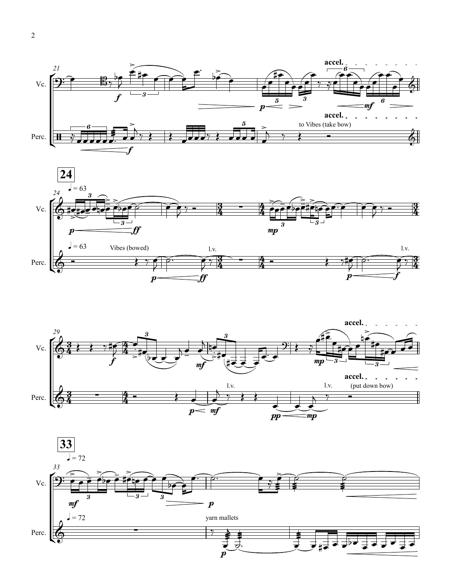





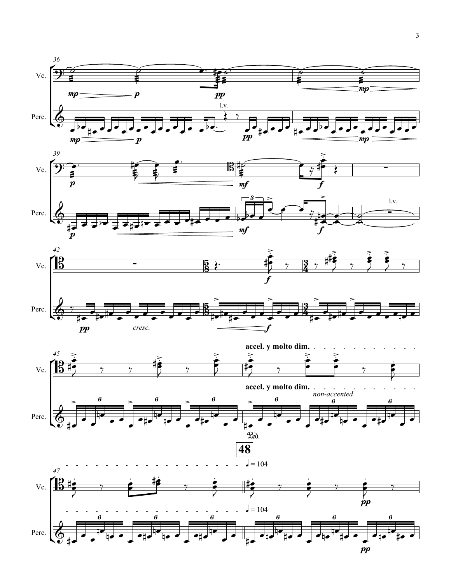







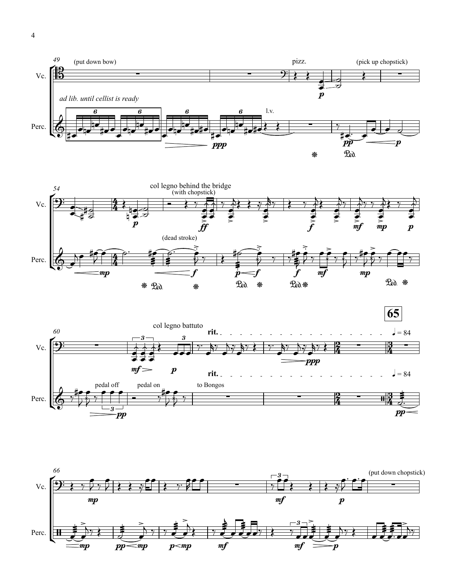